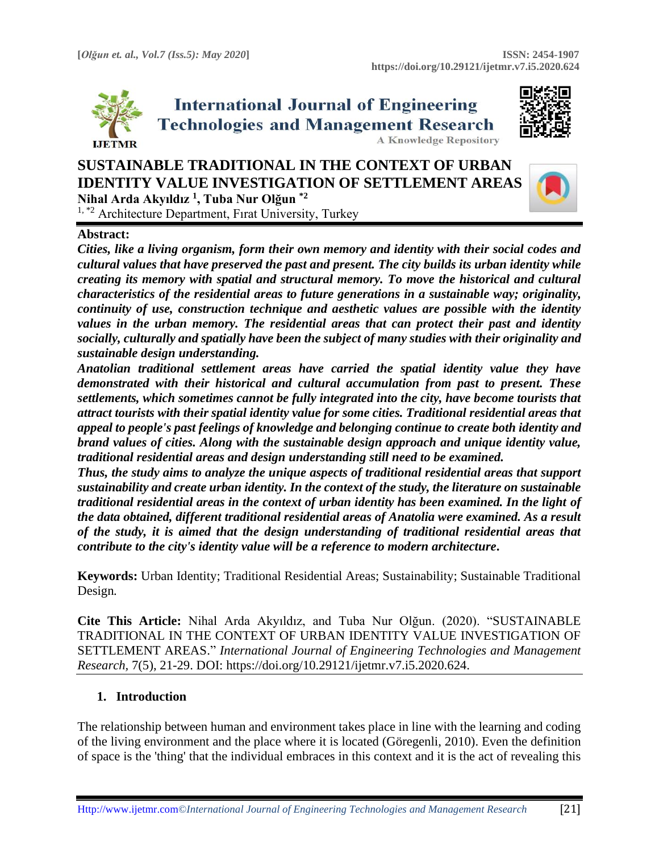



 $1,$   $*$ <sup>2</sup> Architecture Department, Firat University, Turkey

### **Abstract:**

*Cities, like a living organism, form their own memory and identity with their social codes and cultural values that have preserved the past and present. The city builds its urban identity while creating its memory with spatial and structural memory. To move the historical and cultural characteristics of the residential areas to future generations in a sustainable way; originality, continuity of use, construction technique and aesthetic values are possible with the identity values in the urban memory. The residential areas that can protect their past and identity socially, culturally and spatially have been the subject of many studies with their originality and sustainable design understanding.*

*Anatolian traditional settlement areas have carried the spatial identity value they have demonstrated with their historical and cultural accumulation from past to present. These settlements, which sometimes cannot be fully integrated into the city, have become tourists that attract tourists with their spatial identity value for some cities. Traditional residential areas that appeal to people's past feelings of knowledge and belonging continue to create both identity and brand values of cities. Along with the sustainable design approach and unique identity value, traditional residential areas and design understanding still need to be examined.*

*Thus, the study aims to analyze the unique aspects of traditional residential areas that support sustainability and create urban identity. In the context of the study, the literature on sustainable traditional residential areas in the context of urban identity has been examined. In the light of the data obtained, different traditional residential areas of Anatolia were examined. As a result of the study, it is aimed that the design understanding of traditional residential areas that contribute to the city's identity value will be a reference to modern architecture***.**

**Keywords:** Urban Identity; Traditional Residential Areas; Sustainability; Sustainable Traditional Design*.*

**Cite This Article:** Nihal Arda Akyıldız, and Tuba Nur Olğun. (2020). "SUSTAINABLE TRADITIONAL IN THE CONTEXT OF URBAN IDENTITY VALUE INVESTIGATION OF SETTLEMENT AREAS." *International Journal of Engineering Technologies and Management Research,* 7(5), 21-29. DOI: https://doi.org/10.29121/ijetmr.v7.i5.2020.624.

### **1. Introduction**

The relationship between human and environment takes place in line with the learning and coding of the living environment and the place where it is located (Göregenli, 2010). Even the definition of space is the 'thing' that the individual embraces in this context and it is the act of revealing this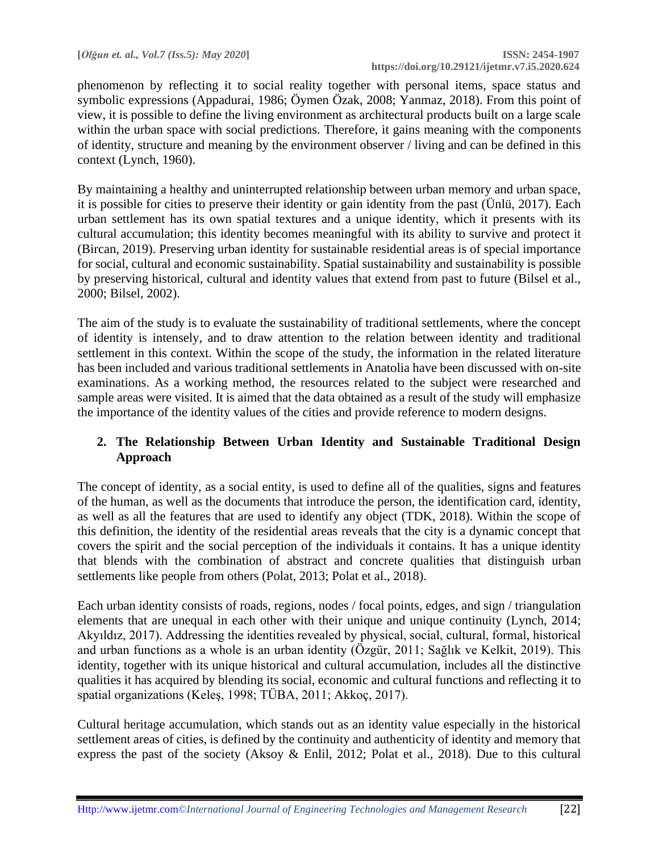phenomenon by reflecting it to social reality together with personal items, space status and symbolic expressions (Appadurai, 1986; Öymen Özak, 2008; Yanmaz, 2018). From this point of view, it is possible to define the living environment as architectural products built on a large scale within the urban space with social predictions. Therefore, it gains meaning with the components of identity, structure and meaning by the environment observer / living and can be defined in this context (Lynch, 1960).

By maintaining a healthy and uninterrupted relationship between urban memory and urban space, it is possible for cities to preserve their identity or gain identity from the past (Ünlü, 2017). Each urban settlement has its own spatial textures and a unique identity, which it presents with its cultural accumulation; this identity becomes meaningful with its ability to survive and protect it (Bircan, 2019). Preserving urban identity for sustainable residential areas is of special importance for social, cultural and economic sustainability. Spatial sustainability and sustainability is possible by preserving historical, cultural and identity values that extend from past to future (Bilsel et al., 2000; Bilsel, 2002).

The aim of the study is to evaluate the sustainability of traditional settlements, where the concept of identity is intensely, and to draw attention to the relation between identity and traditional settlement in this context. Within the scope of the study, the information in the related literature has been included and various traditional settlements in Anatolia have been discussed with on-site examinations. As a working method, the resources related to the subject were researched and sample areas were visited. It is aimed that the data obtained as a result of the study will emphasize the importance of the identity values of the cities and provide reference to modern designs.

## **2. The Relationship Between Urban Identity and Sustainable Traditional Design Approach**

The concept of identity, as a social entity, is used to define all of the qualities, signs and features of the human, as well as the documents that introduce the person, the identification card, identity, as well as all the features that are used to identify any object (TDK, 2018). Within the scope of this definition, the identity of the residential areas reveals that the city is a dynamic concept that covers the spirit and the social perception of the individuals it contains. It has a unique identity that blends with the combination of abstract and concrete qualities that distinguish urban settlements like people from others (Polat, 2013; Polat et al., 2018).

Each urban identity consists of roads, regions, nodes / focal points, edges, and sign / triangulation elements that are unequal in each other with their unique and unique continuity (Lynch, 2014; Akyıldız, 2017). Addressing the identities revealed by physical, social, cultural, formal, historical and urban functions as a whole is an urban identity (Özgür, 2011; Sağlık ve Kelkit, 2019). This identity, together with its unique historical and cultural accumulation, includes all the distinctive qualities it has acquired by blending its social, economic and cultural functions and reflecting it to spatial organizations (Keleş, 1998; TÜBA, 2011; Akkoç, 2017).

Cultural heritage accumulation, which stands out as an identity value especially in the historical settlement areas of cities, is defined by the continuity and authenticity of identity and memory that express the past of the society (Aksoy & Enlil, 2012; Polat et al., 2018). Due to this cultural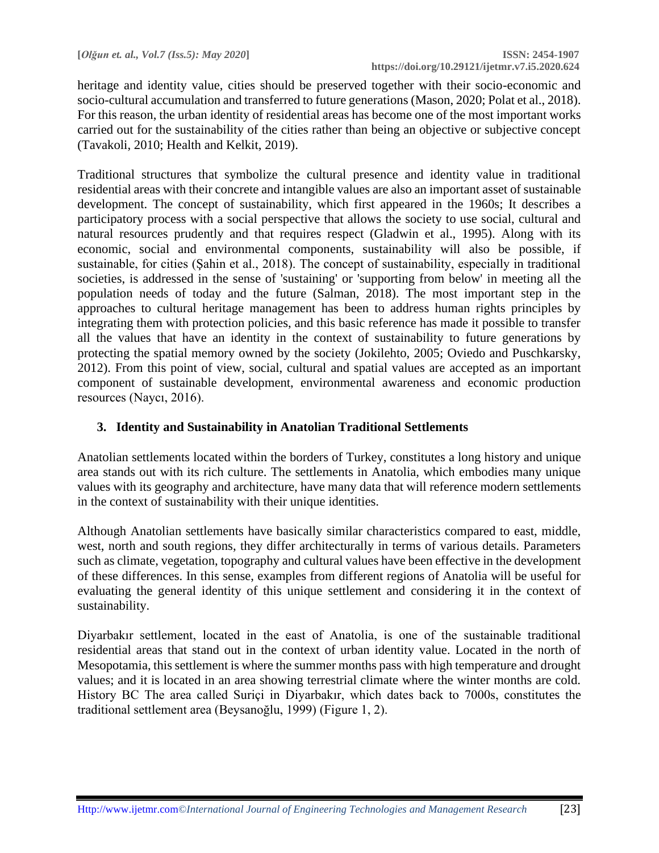heritage and identity value, cities should be preserved together with their socio-economic and socio-cultural accumulation and transferred to future generations (Mason, 2020; Polat et al., 2018). For this reason, the urban identity of residential areas has become one of the most important works carried out for the sustainability of the cities rather than being an objective or subjective concept (Tavakoli, 2010; Health and Kelkit, 2019).

Traditional structures that symbolize the cultural presence and identity value in traditional residential areas with their concrete and intangible values are also an important asset of sustainable development. The concept of sustainability, which first appeared in the 1960s; It describes a participatory process with a social perspective that allows the society to use social, cultural and natural resources prudently and that requires respect (Gladwin et al., 1995). Along with its economic, social and environmental components, sustainability will also be possible, if sustainable, for cities (Şahin et al., 2018). The concept of sustainability, especially in traditional societies, is addressed in the sense of 'sustaining' or 'supporting from below' in meeting all the population needs of today and the future (Salman, 2018). The most important step in the approaches to cultural heritage management has been to address human rights principles by integrating them with protection policies, and this basic reference has made it possible to transfer all the values that have an identity in the context of sustainability to future generations by protecting the spatial memory owned by the society (Jokilehto, 2005; Oviedo and Puschkarsky, 2012). From this point of view, social, cultural and spatial values are accepted as an important component of sustainable development, environmental awareness and economic production resources (Naycı, 2016).

# **3. Identity and Sustainability in Anatolian Traditional Settlements**

Anatolian settlements located within the borders of Turkey, constitutes a long history and unique area stands out with its rich culture. The settlements in Anatolia, which embodies many unique values with its geography and architecture, have many data that will reference modern settlements in the context of sustainability with their unique identities.

Although Anatolian settlements have basically similar characteristics compared to east, middle, west, north and south regions, they differ architecturally in terms of various details. Parameters such as climate, vegetation, topography and cultural values have been effective in the development of these differences. In this sense, examples from different regions of Anatolia will be useful for evaluating the general identity of this unique settlement and considering it in the context of sustainability.

Diyarbakır settlement, located in the east of Anatolia, is one of the sustainable traditional residential areas that stand out in the context of urban identity value. Located in the north of Mesopotamia, this settlement is where the summer months pass with high temperature and drought values; and it is located in an area showing terrestrial climate where the winter months are cold. History BC The area called Suriçi in Diyarbakır, which dates back to 7000s, constitutes the traditional settlement area (Beysanoğlu, 1999) (Figure 1, 2).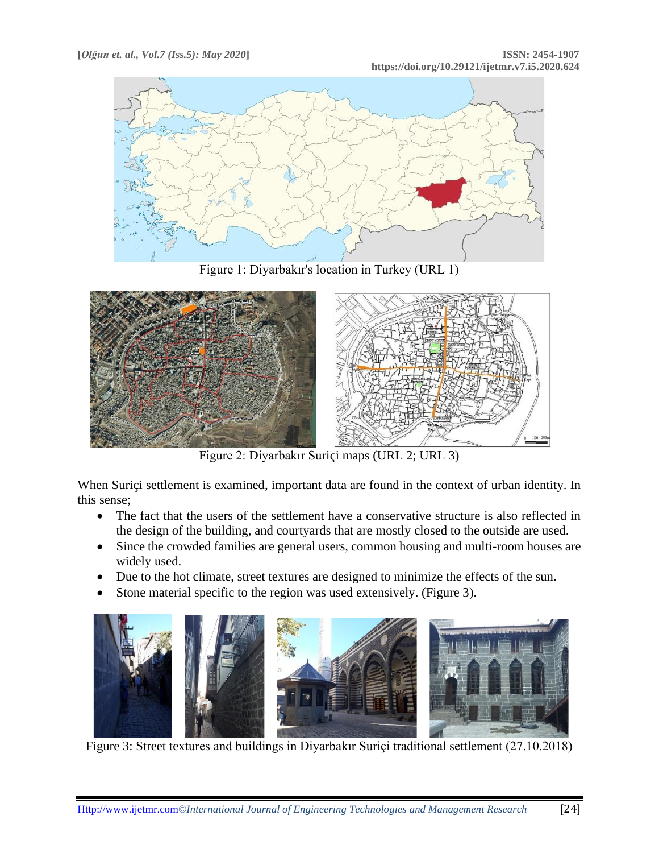

Figure 1: Diyarbakır's location in Turkey (URL 1)



Figure 2: Diyarbakır Suriçi maps (URL 2; URL 3)

When Suriçi settlement is examined, important data are found in the context of urban identity. In this sense;

- The fact that the users of the settlement have a conservative structure is also reflected in the design of the building, and courtyards that are mostly closed to the outside are used.
- Since the crowded families are general users, common housing and multi-room houses are widely used.
- Due to the hot climate, street textures are designed to minimize the effects of the sun.
- Stone material specific to the region was used extensively. (Figure 3).



Figure 3: Street textures and buildings in Diyarbakır Suriçi traditional settlement (27.10.2018)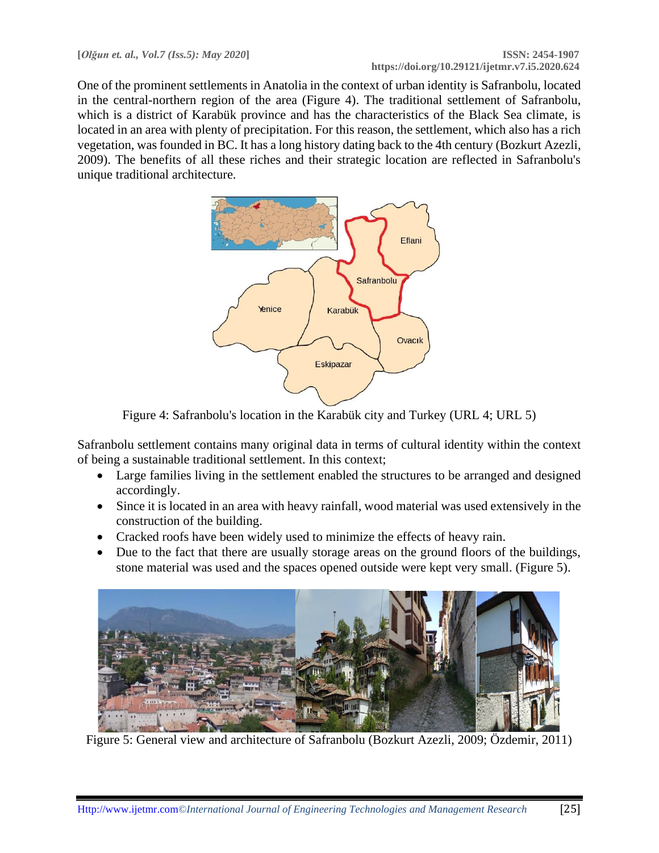One of the prominent settlements in Anatolia in the context of urban identity is Safranbolu, located in the central-northern region of the area (Figure 4). The traditional settlement of Safranbolu, which is a district of Karabük province and has the characteristics of the Black Sea climate, is located in an area with plenty of precipitation. For this reason, the settlement, which also has a rich vegetation, was founded in BC. It has a long history dating back to the 4th century (Bozkurt Azezli, 2009). The benefits of all these riches and their strategic location are reflected in Safranbolu's unique traditional architecture.



Figure 4: Safranbolu's location in the Karabük city and Turkey (URL 4; URL 5)

Safranbolu settlement contains many original data in terms of cultural identity within the context of being a sustainable traditional settlement. In this context;

- Large families living in the settlement enabled the structures to be arranged and designed accordingly.
- Since it is located in an area with heavy rainfall, wood material was used extensively in the construction of the building.
- Cracked roofs have been widely used to minimize the effects of heavy rain.
- Due to the fact that there are usually storage areas on the ground floors of the buildings, stone material was used and the spaces opened outside were kept very small. (Figure 5).



Figure 5: General view and architecture of Safranbolu (Bozkurt Azezli, 2009; Özdemir, 2011)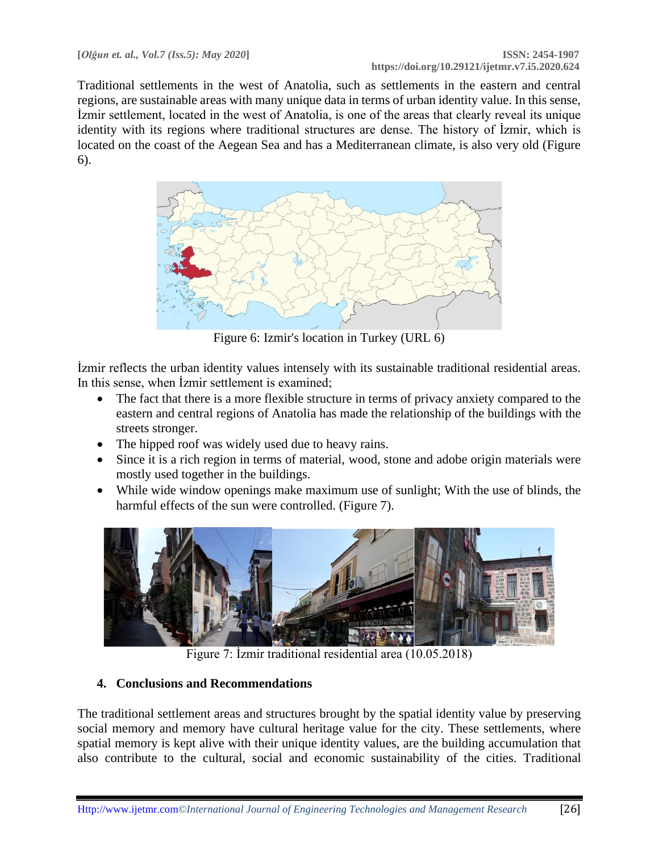Traditional settlements in the west of Anatolia, such as settlements in the eastern and central regions, are sustainable areas with many unique data in terms of urban identity value. In this sense, İzmir settlement, located in the west of Anatolia, is one of the areas that clearly reveal its unique identity with its regions where traditional structures are dense. The history of İzmir, which is located on the coast of the Aegean Sea and has a Mediterranean climate, is also very old (Figure 6).



Figure 6: Izmir's location in Turkey (URL 6)

İzmir reflects the urban identity values intensely with its sustainable traditional residential areas. In this sense, when İzmir settlement is examined;

- The fact that there is a more flexible structure in terms of privacy anxiety compared to the eastern and central regions of Anatolia has made the relationship of the buildings with the streets stronger.
- The hipped roof was widely used due to heavy rains.
- Since it is a rich region in terms of material, wood, stone and adobe origin materials were mostly used together in the buildings.
- While wide window openings make maximum use of sunlight; With the use of blinds, the harmful effects of the sun were controlled. (Figure 7).



Figure 7: İzmir traditional residential area (10.05.2018)

# **4. Conclusions and Recommendations**

The traditional settlement areas and structures brought by the spatial identity value by preserving social memory and memory have cultural heritage value for the city. These settlements, where spatial memory is kept alive with their unique identity values, are the building accumulation that also contribute to the cultural, social and economic sustainability of the cities. Traditional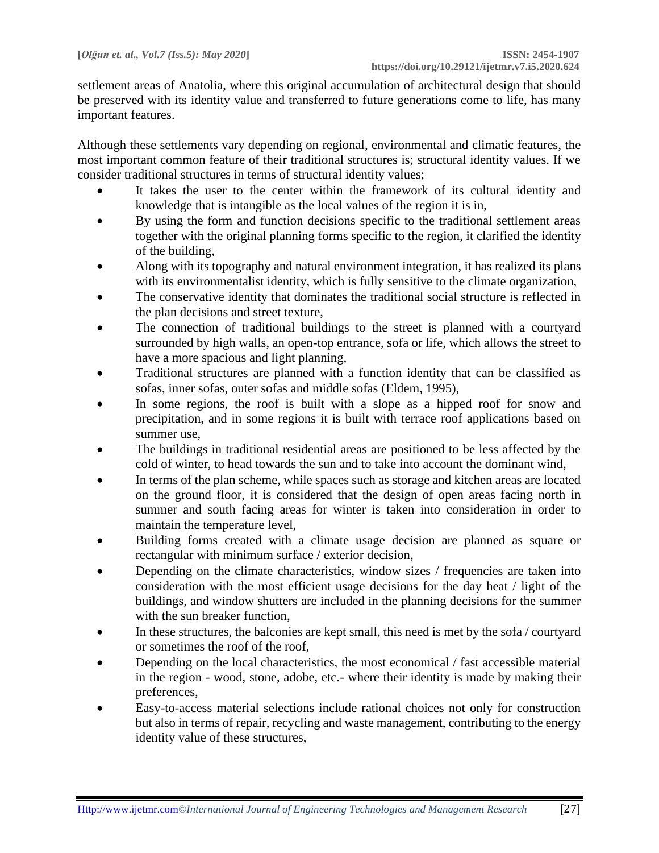settlement areas of Anatolia, where this original accumulation of architectural design that should be preserved with its identity value and transferred to future generations come to life, has many important features.

Although these settlements vary depending on regional, environmental and climatic features, the most important common feature of their traditional structures is; structural identity values. If we consider traditional structures in terms of structural identity values;

- It takes the user to the center within the framework of its cultural identity and knowledge that is intangible as the local values of the region it is in,
- By using the form and function decisions specific to the traditional settlement areas together with the original planning forms specific to the region, it clarified the identity of the building,
- Along with its topography and natural environment integration, it has realized its plans with its environmentalist identity, which is fully sensitive to the climate organization,
- The conservative identity that dominates the traditional social structure is reflected in the plan decisions and street texture,
- The connection of traditional buildings to the street is planned with a courtyard surrounded by high walls, an open-top entrance, sofa or life, which allows the street to have a more spacious and light planning,
- Traditional structures are planned with a function identity that can be classified as sofas, inner sofas, outer sofas and middle sofas (Eldem, 1995),
- In some regions, the roof is built with a slope as a hipped roof for snow and precipitation, and in some regions it is built with terrace roof applications based on summer use,
- The buildings in traditional residential areas are positioned to be less affected by the cold of winter, to head towards the sun and to take into account the dominant wind,
- In terms of the plan scheme, while spaces such as storage and kitchen areas are located on the ground floor, it is considered that the design of open areas facing north in summer and south facing areas for winter is taken into consideration in order to maintain the temperature level,
- Building forms created with a climate usage decision are planned as square or rectangular with minimum surface / exterior decision,
- Depending on the climate characteristics, window sizes / frequencies are taken into consideration with the most efficient usage decisions for the day heat / light of the buildings, and window shutters are included in the planning decisions for the summer with the sun breaker function,
- In these structures, the balconies are kept small, this need is met by the sofa / courtyard or sometimes the roof of the roof,
- Depending on the local characteristics, the most economical / fast accessible material in the region - wood, stone, adobe, etc.- where their identity is made by making their preferences,
- Easy-to-access material selections include rational choices not only for construction but also in terms of repair, recycling and waste management, contributing to the energy identity value of these structures,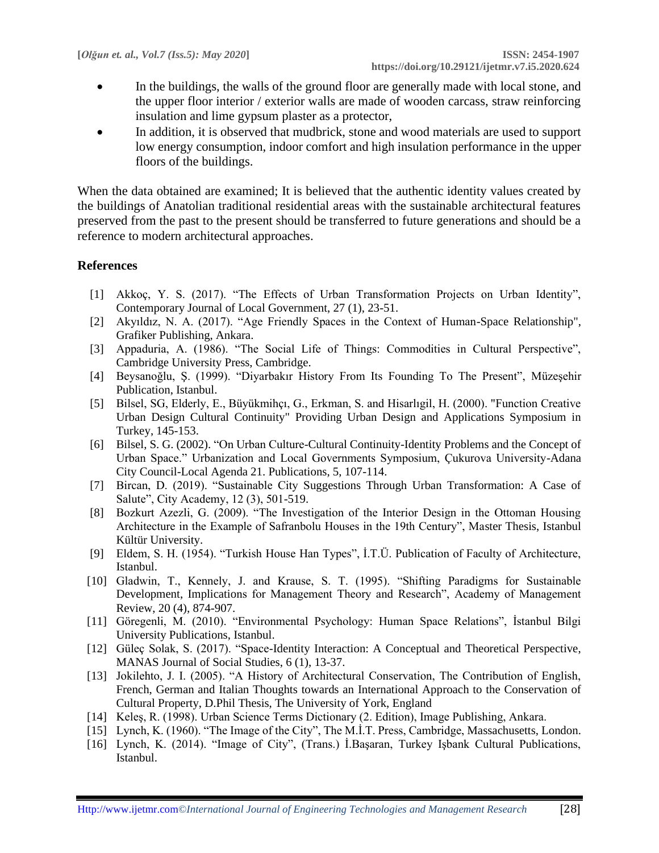- In the buildings, the walls of the ground floor are generally made with local stone, and the upper floor interior / exterior walls are made of wooden carcass, straw reinforcing insulation and lime gypsum plaster as a protector,
- In addition, it is observed that mudbrick, stone and wood materials are used to support low energy consumption, indoor comfort and high insulation performance in the upper floors of the buildings.

When the data obtained are examined; It is believed that the authentic identity values created by the buildings of Anatolian traditional residential areas with the sustainable architectural features preserved from the past to the present should be transferred to future generations and should be a reference to modern architectural approaches.

## **References**

- [1] Akkoç, Y. S. (2017). "The Effects of Urban Transformation Projects on Urban Identity", Contemporary Journal of Local Government, 27 (1), 23-51.
- [2] Akyıldız, N. A. (2017). "Age Friendly Spaces in the Context of Human-Space Relationship", Grafiker Publishing, Ankara.
- [3] Appaduria, A. (1986). "The Social Life of Things: Commodities in Cultural Perspective", Cambridge University Press, Cambridge.
- [4] Beysanoğlu, Ş. (1999). "Diyarbakır History From Its Founding To The Present", Müzeşehir Publication, Istanbul.
- [5] Bilsel, SG, Elderly, E., Büyükmihçı, G., Erkman, S. and Hisarlıgil, H. (2000). "Function Creative Urban Design Cultural Continuity" Providing Urban Design and Applications Symposium in Turkey, 145-153.
- [6] Bilsel, S. G. (2002). "On Urban Culture-Cultural Continuity-Identity Problems and the Concept of Urban Space." Urbanization and Local Governments Symposium, Çukurova University-Adana City Council-Local Agenda 21. Publications, 5, 107-114.
- [7] Bircan, D. (2019). "Sustainable City Suggestions Through Urban Transformation: A Case of Salute", City Academy, 12 (3), 501-519.
- [8] Bozkurt Azezli, G. (2009). "The Investigation of the Interior Design in the Ottoman Housing Architecture in the Example of Safranbolu Houses in the 19th Century", Master Thesis, Istanbul Kültür University.
- [9] Eldem, S. H. (1954). "Turkish House Han Types", İ.T.Ü. Publication of Faculty of Architecture, Istanbul.
- [10] Gladwin, T., Kennely, J. and Krause, S. T. (1995). "Shifting Paradigms for Sustainable Development, Implications for Management Theory and Research", Academy of Management Review, 20 (4), 874-907.
- [11] Göregenli, M. (2010). "Environmental Psychology: Human Space Relations", İstanbul Bilgi University Publications, Istanbul.
- [12] Güleç Solak, S. (2017). "Space-Identity Interaction: A Conceptual and Theoretical Perspective, MANAS Journal of Social Studies, 6 (1), 13-37.
- [13] Jokilehto, J. I. (2005). "A History of Architectural Conservation, The Contribution of English, French, German and Italian Thoughts towards an International Approach to the Conservation of Cultural Property, D.Phil Thesis, The University of York, England
- [14] Keleş, R. (1998). Urban Science Terms Dictionary (2. Edition), Image Publishing, Ankara.
- [15] Lynch, K. (1960). "The Image of the City", The M.I.T. Press, Cambridge, Massachusetts, London.
- [16] Lynch, K. (2014). "Image of City", (Trans.) İ.Başaran, Turkey Işbank Cultural Publications, Istanbul.